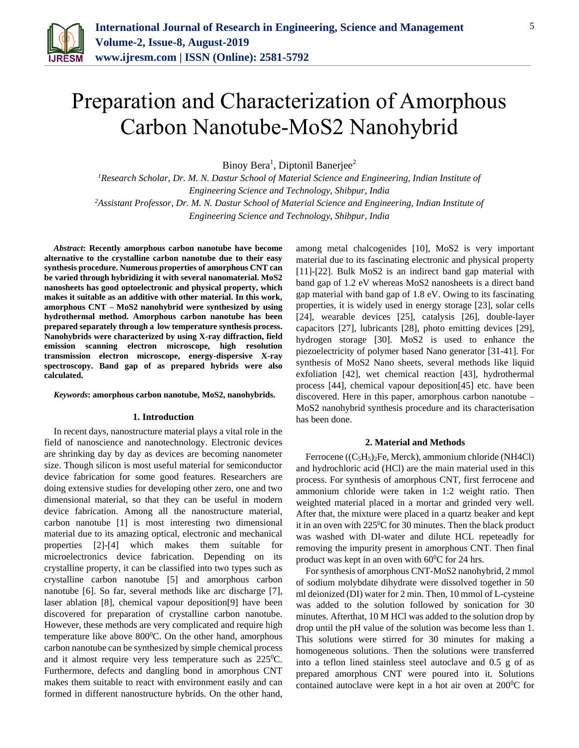

# Preparation and Characterization of Amorphous Carbon Nanotube-MoS2 Nanohybrid

Binoy Bera<sup>1</sup>, Diptonil Banerjee<sup>2</sup>

*<sup>1</sup>Research Scholar, Dr. M. N. Dastur School of Material Science and Engineering, Indian Institute of Engineering Science and Technology, Shibpur, India <sup>2</sup>Assistant Professor, Dr. M. N. Dastur School of Material Science and Engineering, Indian Institute of Engineering Science and Technology, Shibpur, India*

*Abstract***: Recently amorphous carbon nanotube have become alternative to the crystalline carbon nanotube due to their easy synthesis procedure. Numerous properties of amorphous CNT can be varied through hybridizing it with several nanomaterial. MoS2 nanosheets has good optoelectronic and physical property, which makes it suitable as an additive with other material. In this work, amorphous CNT – MoS2 nanohybrid were synthesized by using hydrothermal method. Amorphous carbon nanotube has been prepared separately through a low temperature synthesis process. Nanohybrids were characterized by using X-ray diffraction, field emission scanning electron microscope, high resolution transmission electron microscope, energy-dispersive X-ray spectroscopy. Band gap of as prepared hybrids were also calculated.**

#### *Keywords***: amorphous carbon nanotube, MoS2, nanohybrids.**

## **1. Introduction**

In recent days, nanostructure material plays a vital role in the field of nanoscience and nanotechnology. Electronic devices are shrinking day by day as devices are becoming nanometer size. Though silicon is most useful material for semiconductor device fabrication for some good features. Researchers are doing extensive studies for developing other zero, one and two dimensional material, so that they can be useful in modern device fabrication. Among all the nanostructure material, carbon nanotube [1] is most interesting two dimensional material due to its amazing optical, electronic and mechanical properties [2]-[4] which makes them suitable for microelectronics device fabrication. Depending on its crystalline property, it can be classified into two types such as crystalline carbon nanotube [5] and amorphous carbon nanotube [6]. So far, several methods like arc discharge [7], laser ablation [8], chemical vapour deposition[9] have been discovered for preparation of crystalline carbon nanotube. However, these methods are very complicated and require high temperature like above  $800^{\circ}$ C. On the other hand, amorphous carbon nanotube can be synthesized by simple chemical process and it almost require very less temperature such as  $225^{\circ}$ C. Furthermore, defects and dangling bond in amorphous CNT makes them suitable to react with environment easily and can formed in different nanostructure hybrids. On the other hand,

among metal chalcogenides [10], MoS2 is very important material due to its fascinating electronic and physical property [11]-[22]. Bulk MoS2 is an indirect band gap material with band gap of 1.2 eV whereas MoS2 nanosheets is a direct band gap material with band gap of 1.8 eV. Owing to its fascinating properties, it is widely used in energy storage [23], solar cells [24], wearable devices [25], catalysis [26], double-layer capacitors [27], lubricants [28], photo emitting devices [29], hydrogen storage [30]. MoS2 is used to enhance the piezoelectricity of polymer based Nano generator [31-41]. For synthesis of MoS2 Nano sheets, several methods like liquid exfoliation [42], wet chemical reaction [43], hydrothermal process [44], chemical vapour deposition[45] etc. have been discovered. Here in this paper, amorphous carbon nanotube – MoS2 nanohybrid synthesis procedure and its characterisation has been done.

## **2. Material and Methods**

Ferrocene ((C5H5)2Fe, Merck), ammonium chloride (NH4Cl) and hydrochloric acid (HCl) are the main material used in this process. For synthesis of amorphous CNT, first ferrocene and ammonium chloride were taken in 1:2 weight ratio. Then weighted material placed in a mortar and grinded very well. After that, the mixture were placed in a quartz beaker and kept it in an oven with  $225^{\circ}$ C for 30 minutes. Then the black product was washed with DI-water and dilute HCL repeteadly for removing the impurity present in amorphous CNT. Then final product was kept in an oven with  $60^{\circ}$ C for 24 hrs.

For synthesis of amorphous CNT-MoS2 nanohybrid, 2 mmol of sodium molybdate dihydrate were dissolved together in 50 ml deionized (DI) water for 2 min. Then, 10 mmol of L-cysteine was added to the solution followed by sonication for 30 minutes. Afterthat, 10 M HCl was added to the solution drop by drop until the pH value of the solution was become less than 1. This solutions were stirred for 30 minutes for making a homogeneous solutions. Then the solutions were transferred into a teflon lined stainless steel autoclave and 0.5 g of as prepared amorphous CNT were poured into it. Solutions contained autoclave were kept in a hot air oven at  $200^{\circ}$ C for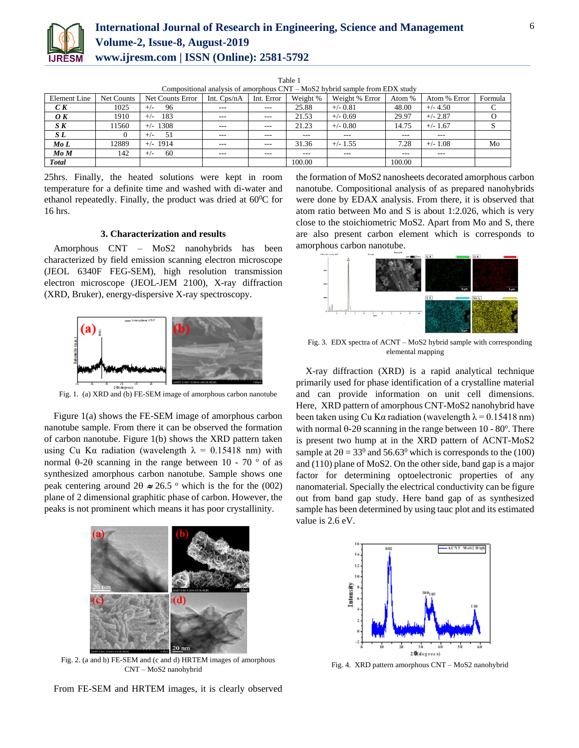

| ٠ | ٧ |  |
|---|---|--|

| Compositional analysis of amorphous $CNT - MoS2$ hybrid sample from EDX study |            |                  |               |            |          |                |         |              |         |  |
|-------------------------------------------------------------------------------|------------|------------------|---------------|------------|----------|----------------|---------|--------------|---------|--|
| Element Line                                                                  | Net Counts | Net Counts Error | Int. $Cps/nA$ | Int. Error | Weight % | Weight % Error | Atom %  | Atom % Error | Formula |  |
| C K                                                                           | 1025       | 96<br>$+/-$      | $\cdots$      | $---$      | 25.88    | $+/- 0.81$     | 48.00   | $+/- 4.50$   |         |  |
| $\boldsymbol{O} \boldsymbol{K}$                                               | 1910       | 183<br>$+/-$     | $- - -$       | $- - -$    | 21.53    | $+/-$ 0.69     | 29.97   | $+/- 2.87$   |         |  |
| S K                                                                           | 1560       | $+/- 1308$       | $\cdots$      | $- - -$    | 21.23    | $+/- 0.80$     | 14.75   | $+/- 1.67$   |         |  |
| S L                                                                           |            | 51<br>$^{+}$     | $- - -$       | $- - -$    | ---      | $- - -$        | $- - -$ | $- - -$      |         |  |
| MoL                                                                           | 12889      | $+/-$ 1914       | $---$         | $- - -$    | 31.36    | $+/- 1.55$     | 7.28    | $+/- 1.08$   | Mo      |  |
| $Mo$ $M$                                                                      | 142        | 60<br>$+/-$      | $\cdots$      | $- - -$    | ---      | $---$          | $- - -$ | $---$        |         |  |
| <b>Total</b>                                                                  |            |                  |               |            | 100.00   |                | 100.00  |              |         |  |

25hrs. Finally, the heated solutions were kept in room temperature for a definite time and washed with di-water and ethanol repeatedly. Finally, the product was dried at  $60^{\circ}$ C for 16 hrs.

## **3. Characterization and results**

Amorphous CNT – MoS2 nanohybrids has been characterized by field emission scanning electron microscope (JEOL 6340F FEG-SEM), high resolution transmission electron microscope (JEOL-JEM 2100), X-ray diffraction (XRD, Bruker), energy-dispersive X-ray spectroscopy.



Fig. 1. (a) XRD and (b) FE-SEM image of amorphous carbon nanotube

Figure 1(a) shows the FE-SEM image of amorphous carbon nanotube sample. From there it can be observed the formation of carbon nanotube. Figure 1(b) shows the XRD pattern taken using Cu K $\alpha$  radiation (wavelength  $\lambda = 0.15418$  nm) with normal  $\theta$ -2 $\theta$  scanning in the range between 10 - 70  $\degree$  of as synthesized amorphous carbon nanotube. Sample shows one peak centering around  $2\theta \approx 26.5$  <sup>o</sup> which is the for the (002) plane of 2 dimensional graphitic phase of carbon. However, the peaks is not prominent which means it has poor crystallinity.



Fig. 2. (a and b) FE-SEM and (c and d) HRTEM images of amorphous CNT – MoS2 nanohybrid

From FE-SEM and HRTEM images, it is clearly observed

the formation of MoS2 nanosheets decorated amorphous carbon nanotube. Compositional analysis of as prepared nanohybrids were done by EDAX analysis. From there, it is observed that atom ratio between Mo and S is about 1:2.026, which is very close to the stoichiometric MoS2. Apart from Mo and S, there are also present carbon element which is corresponds to amorphous carbon nanotube.



Fig. 3. EDX spectra of ACNT – MoS2 hybrid sample with corresponding elemental mapping

X-ray diffraction (XRD) is a rapid analytical technique primarily used for phase identification of a crystalline material and can provide information on unit cell dimensions. Here, XRD pattern of amorphous CNT-MoS2 nanohybrid have been taken using Cu Kα radiation (wavelength  $\lambda = 0.15418$  nm) with normal  $\theta$ -2 $\theta$  scanning in the range between 10 - 80°. There is present two hump at in the XRD pattern of ACNT-MoS2 sample at  $2\theta = 33^0$  and  $56.63^0$  which is corresponds to the (100) and (110) plane of MoS2. On the other side, band gap is a major factor for determining optoelectronic properties of any nanomaterial. Specially the electrical conductivity can be figure out from band gap study. Here band gap of as synthesized sample has been determined by using tauc plot and its estimated value is 2.6 eV.



Fig. 4. XRD pattern amorphous CNT – MoS2 nanohybrid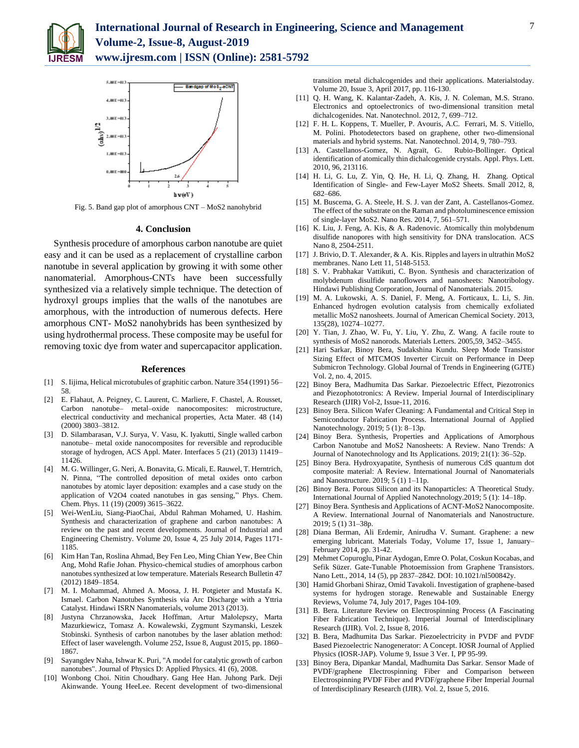



Fig. 5. Band gap plot of amorphous CNT – MoS2 nanohybrid

### **4. Conclusion**

Synthesis procedure of amorphous carbon nanotube are quiet easy and it can be used as a replacement of crystalline carbon nanotube in several application by growing it with some other nanomaterial. Amorphous-CNTs have been successfully synthesized via a relatively simple technique. The detection of hydroxyl groups implies that the walls of the nanotubes are amorphous, with the introduction of numerous defects. Here amorphous CNT- MoS2 nanohybrids has been synthesized by using hydrothermal process. These composite may be useful for removing toxic dye from water and supercapacitor application.

### **References**

- [1] S. Iijima, Helical microtubules of graphitic carbon. Nature 354 (1991) 56– 58.
- [2] E. Flahaut, A. Peigney, C. Laurent, C. Marliere, F. Chastel, A. Rousset, Carbon nanotube– metal–oxide nanocomposites: microstructure, electrical conductivity and mechanical properties, Acta Mater. 48 (14) (2000) 3803–3812.
- [3] D. Silambarasan, V.J. Surya, V. Vasu, K. Iyakutti, Single walled carbon nanotube– metal oxide nanocomposites for reversible and reproducible storage of hydrogen, ACS Appl. Mater. Interfaces 5 (21) (2013) 11419– 11426.
- [4] M. G. Willinger, G. Neri, A. Bonavita, G. Micali, E. Rauwel, T. Herntrich, N. Pinna, "The controlled deposition of metal oxides onto carbon nanotubes by atomic layer deposition: examples and a case study on the application of V2O4 coated nanotubes in gas sensing," Phys. Chem. Chem. Phys. 11 (19) (2009) 3615–3622.
- [5] Wei-WenLiu, Siang-PiaoChai, Abdul Rahman Mohamed, U. Hashim. Synthesis and characterization of graphene and carbon nanotubes: A review on the past and recent developments. Journal of Industrial and Engineering Chemistry. Volume 20, Issue 4, 25 July 2014, Pages 1171- 1185.
- [6] Kim Han Tan, Roslina Ahmad, Bey Fen Leo, Ming Chian Yew, Bee Chin Ang, Mohd Rafie Johan. Physico-chemical studies of amorphous carbon nanotubes synthesized at low temperature. Materials Research Bulletin 47 (2012) 1849–1854.
- [7] M. I. Mohammad, Ahmed A. Moosa, J. H. Potgieter and Mustafa K. Ismael. Carbon Nanotubes Synthesis via Arc Discharge with a Yttria Catalyst. Hindawi ISRN Nanomaterials, volume 2013 (2013).
- [8] Justyna Chrzanowska, Jacek Hoffman, Artur Małolepszy, Marta Mazurkiewicz, Tomasz A. Kowalewski, Zygmunt Szymanski, Leszek Stobinski. Synthesis of carbon nanotubes by the laser ablation method: Effect of laser wavelength. Volume 252, Issue 8, August 2015, pp. 1860– 1867.
- [9] Sayangdev Naha, Ishwar K. Puri, "A model for catalytic growth of carbon nanotubes". Journal of Physics D: Applied Physics. 41 (6), 2008.
- [10] Wonbong Choi. Nitin Choudhary. Gang Hee Han. Juhong Park. Deji Akinwande. Young HeeLee. Recent development of two-dimensional

transition metal dichalcogenides and their applications. Materialstoday. Volume 20, Issue 3, April 2017, pp. 116-130.

- [11] Q. H. Wang, K. Kalantar-Zadeh, A. Kis, J. N. Coleman, M.S. Strano. Electronics and optoelectronics of two-dimensional transition metal dichalcogenides. Nat. Nanotechnol. 2012, 7, 699–712.
- [12] F. H. L. Koppens, T. Mueller, P. Avouris, A.C. Ferrari, M. S. Vitiello, M. Polini. Photodetectors based on graphene, other two-dimensional materials and hybrid systems. Nat. Nanotechnol. 2014, 9, 780–793.
- [13] A. Castellanos-Gomez, N. Agraït, G. Rubio-Bollinger. Optical identification of atomically thin dichalcogenide crystals. Appl. Phys. Lett. 2010, 96, 213116.
- [14] H. Li, G. Lu, Z. Yin, Q. He, H. Li, Q. Zhang, H. Zhang. Optical Identification of Single- and Few-Layer MoS2 Sheets. Small 2012, 8, 682–686.
- [15] M. Buscema, G. A. Steele, H. S. J. van der Zant, A. Castellanos-Gomez. The effect of the substrate on the Raman and photoluminescence emission of single-layer MoS2. Nano Res. 2014, 7, 561–571.
- [16] K. Liu, J. Feng, A. Kis, & A. Radenovic. Atomically thin molybdenum disulfide nanopores with high sensitivity for DNA translocation. ACS Nano 8, 2504-2511.
- [17] J. Brivio, D. T. Alexander, & A. Kis. Ripples and layers in ultrathin MoS2 membranes. Nano Lett 11, 5148-5153.
- [18] S. V. Prabhakar Vattikuti, C. Byon. Synthesis and characterization of molybdenum disulfide nanoflowers and nanosheets: Nanotribology. Hindawi Publishing Corporation, Journal of Nanomaterials. 2015.
- [19] M. A. Lukowski, A. S. Daniel, F. Meng, A. Forticaux, L. Li, S. Jin. Enhanced hydrogen evolution catalysis from chemically exfoliated metallic MoS2 nanosheets. Journal of American Chemical Society. 2013, 135(28), 10274–10277.
- [20] Y. Tian, J. Zhao, W. Fu, Y. Liu, Y. Zhu, Z. Wang. A facile route to synthesis of MoS2 nanorods. Materials Letters. 2005,59, 3452–3455.
- [21] Hari Sarkar, Binoy Bera, Sudakshina Kundu. Sleep Mode Transistor Sizing Effect of MTCMOS Inverter Circuit on Performance in Deep Submicron Technology. Global Journal of Trends in Engineering (GJTE) Vol. 2, no. 4, 2015.
- [22] Binoy Bera, Madhumita Das Sarkar. Piezoelectric Effect, Piezotronics and Piezophototronics: A Review. Imperial Journal of Interdisciplinary Research (IJIR) Vol-2, Issue-11, 2016.
- [23] Binoy Bera. Silicon Wafer Cleaning: A Fundamental and Critical Step in Semiconductor Fabrication Process. International Journal of Applied Nanotechnology. 2019; 5 (1): 8–13p.
- [24] Binoy Bera. Synthesis, Properties and Applications of Amorphous Carbon Nanotube and MoS2 Nanosheets: A Review. Nano Trends: A Journal of Nanotechnology and Its Applications. 2019; 21(1): 36–52p.
- [25] Binoy Bera. Hydroxyapatite, Synthesis of numerous CdS quantum dot composite material: A Review. International Journal of Nanomaterials and Nanostructure. 2019; 5 (1) 1–11p.
- [26] Binoy Bera. Porous Silicon and its Nanoparticles: A Theoretical Study. International Journal of Applied Nanotechnology.2019; 5 (1): 14–18p.
- [27] Binoy Bera. Synthesis and Applications of ACNT-MoS2 Nanocomposite. A Review. International Journal of Nanomaterials and Nanostructure. 2019; 5 (1) 31–38p.
- [28] Diana Berman, Ali Erdemir, Anirudha V. Sumant. Graphene: a new emerging lubricant. Materials Today, Volume 17, Issue 1, January– February 2014, pp. 31-42.
- [29] Mehmet Copuroglu, Pinar Aydogan, Emre O. Polat, Coskun Kocabas, and Sefik Süzer. Gate-Tunable Photoemission from Graphene Transistors. Nano Lett., 2014, 14 (5), pp 2837–2842. DOI: 10.1021/nl500842y.
- [30] Hamid Ghorbani Shiraz, Omid Tavakoli. Investigation of graphene-based systems for hydrogen storage. Renewable and Sustainable Energy Reviews, Volume 74, July 2017, Pages 104-109.
- [31] B. Bera. Literature Review on Electrospinning Process (A Fascinating Fiber Fabrication Technique). Imperial Journal of Interdisciplinary Research (IJIR). Vol. 2, Issue 8, 2016.
- [32] B. Bera, Madhumita Das Sarkar. Piezoelectricity in PVDF and PVDF Based Piezoelectric Nanogenerator: A Concept. IOSR Journal of Applied Physics (IOSR-JAP). Volume 9, Issue 3 Ver. I, PP 95-99.
- [33] Binoy Bera, Dipankar Mandal, Madhumita Das Sarkar. Sensor Made of PVDF/graphene Electrospinning Fiber and Comparison between Electrospinning PVDF Fiber and PVDF/graphene Fiber Imperial Journal of Interdisciplinary Research (IJIR). Vol. 2, Issue 5, 2016.